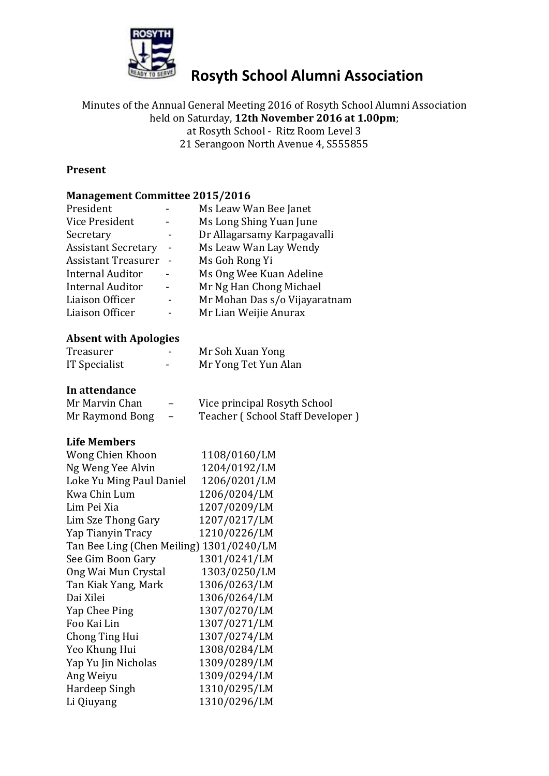

# **Rosyth School Alumni Association**

## Minutes of the Annual General Meeting 2016 of Rosyth School Alumni Association held on Saturday, **12th November 2016 at 1.00pm**;

at Rosyth School - Ritz Room Level 3

21 Serangoon North Avenue 4, S555855

### **Present**

### **Management Committee 2015/2016**

| President                  | Ms Leaw Wan Bee Janet         |
|----------------------------|-------------------------------|
| Vice President             | Ms Long Shing Yuan June       |
| Secretary                  | Dr Allagarsamy Karpagavalli   |
| <b>Assistant Secretary</b> | Ms Leaw Wan Lay Wendy         |
| <b>Assistant Treasurer</b> | Ms Goh Rong Yi                |
| <b>Internal Auditor</b>    | Ms Ong Wee Kuan Adeline       |
| <b>Internal Auditor</b>    | Mr Ng Han Chong Michael       |
| Liaison Officer            | Mr Mohan Das s/o Vijayaratnam |
| Liaison Officer            | Mr Lian Weijie Anurax         |
|                            |                               |

### **Absent with Apologies**

| Treasurer     |   | Mr Soh Xuan Yong     |  |
|---------------|---|----------------------|--|
| IT Specialist | - | Mr Yong Tet Yun Alan |  |

### **In attendance**

| Mr Marvin Chan  | $\overline{\phantom{m}}$ | Vice principal Rosyth School     |
|-----------------|--------------------------|----------------------------------|
| Mr Raymond Bong | $\sim$                   | Teacher (School Staff Developer) |

#### **Life Members**

| Wong Chien Khoon                         | 1108/0160/LM |
|------------------------------------------|--------------|
| Ng Weng Yee Alvin                        | 1204/0192/LM |
| Loke Yu Ming Paul Daniel                 | 1206/0201/LM |
| Kwa Chin Lum                             | 1206/0204/LM |
| Lim Pei Xia                              | 1207/0209/LM |
| Lim Sze Thong Gary                       | 1207/0217/LM |
| Yap Tianyin Tracy                        | 1210/0226/LM |
| Tan Bee Ling (Chen Meiling) 1301/0240/LM |              |
| See Gim Boon Gary                        | 1301/0241/LM |
| Ong Wai Mun Crystal                      | 1303/0250/LM |
| Tan Kiak Yang, Mark                      | 1306/0263/LM |
| Dai Xilei                                | 1306/0264/LM |
| Yap Chee Ping                            | 1307/0270/LM |
| Foo Kai Lin                              | 1307/0271/LM |
| Chong Ting Hui                           | 1307/0274/LM |
| Yeo Khung Hui                            | 1308/0284/LM |
| Yap Yu Jin Nicholas                      | 1309/0289/LM |
| Ang Weiyu                                | 1309/0294/LM |
| Hardeep Singh                            | 1310/0295/LM |
| Li Qiuyang                               | 1310/0296/LM |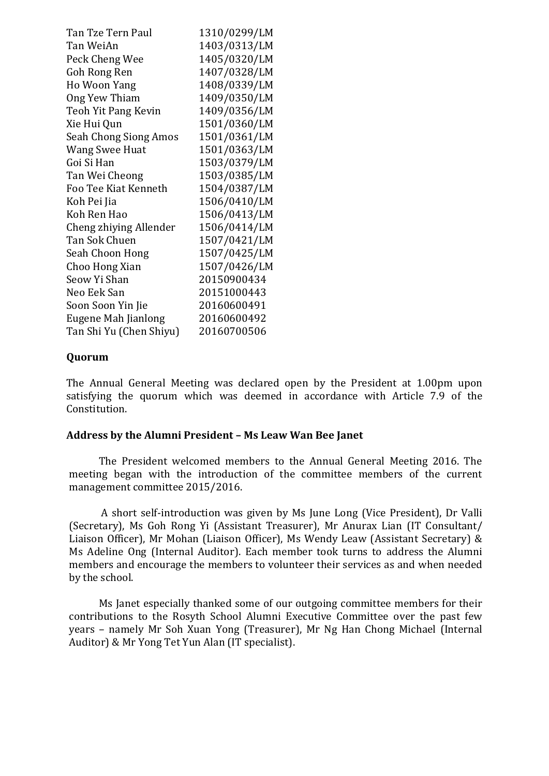| Tan Tze Tern Paul       | 1310/0299/LM |
|-------------------------|--------------|
| Tan WeiAn               | 1403/0313/LM |
| Peck Cheng Wee          | 1405/0320/LM |
| Goh Rong Ren            | 1407/0328/LM |
| Ho Woon Yang            | 1408/0339/LM |
| Ong Yew Thiam           | 1409/0350/LM |
| Teoh Yit Pang Kevin     | 1409/0356/LM |
| Xie Hui Qun             | 1501/0360/LM |
| Seah Chong Siong Amos   | 1501/0361/LM |
| <b>Wang Swee Huat</b>   | 1501/0363/LM |
| Goi Si Han              | 1503/0379/LM |
| Tan Wei Cheong          | 1503/0385/LM |
| Foo Tee Kiat Kenneth    | 1504/0387/LM |
| Koh Pei Jia             | 1506/0410/LM |
| Koh Ren Hao             | 1506/0413/LM |
| Cheng zhiying Allender  | 1506/0414/LM |
| Tan Sok Chuen           | 1507/0421/LM |
| Seah Choon Hong         | 1507/0425/LM |
| Choo Hong Xian          | 1507/0426/LM |
| Seow Yi Shan            | 20150900434  |
| Neo Eek San             | 20151000443  |
| Soon Soon Yin Jie       | 20160600491  |
| Eugene Mah Jianlong     | 20160600492  |
| Tan Shi Yu (Chen Shiyu) | 20160700506  |

### **Quorum**

The Annual General Meeting was declared open by the President at 1.00pm upon satisfying the quorum which was deemed in accordance with Article 7.9 of the Constitution.

#### **Address by the Alumni President – Ms Leaw Wan Bee Janet**

The President welcomed members to the Annual General Meeting 2016. The meeting began with the introduction of the committee members of the current management committee 2015/2016.

A short self-introduction was given by Ms June Long (Vice President), Dr Valli (Secretary), Ms Goh Rong Yi (Assistant Treasurer), Mr Anurax Lian (IT Consultant/ Liaison Officer), Mr Mohan (Liaison Officer), Ms Wendy Leaw (Assistant Secretary) & Ms Adeline Ong (Internal Auditor). Each member took turns to address the Alumni members and encourage the members to volunteer their services as and when needed by the school.

Ms Janet especially thanked some of our outgoing committee members for their contributions to the Rosyth School Alumni Executive Committee over the past few years – namely Mr Soh Xuan Yong (Treasurer), Mr Ng Han Chong Michael (Internal Auditor) & Mr Yong Tet Yun Alan (IT specialist).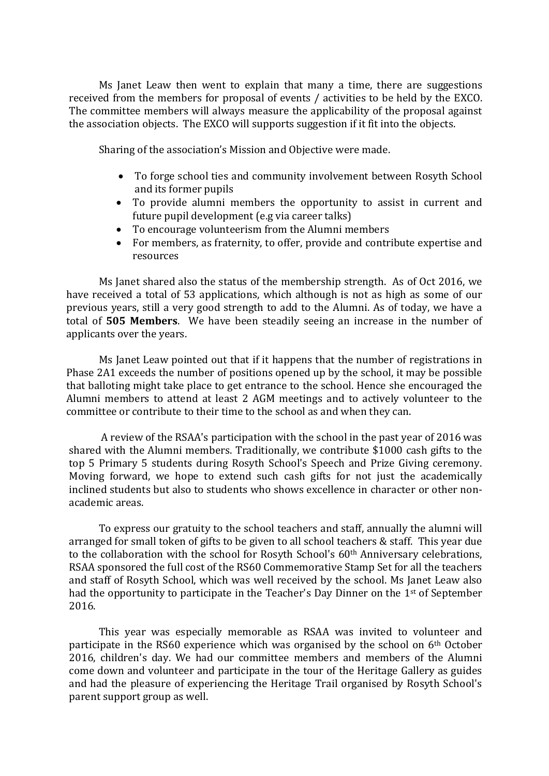Ms Janet Leaw then went to explain that many a time, there are suggestions received from the members for proposal of events / activities to be held by the EXCO. The committee members will always measure the applicability of the proposal against the association objects. The EXCO will supports suggestion if it fit into the objects.

Sharing of the association's Mission and Objective were made.

- To forge school ties and community involvement between Rosyth School and its former pupils
- To provide alumni members the opportunity to assist in current and future pupil development (e.g via career talks)
- To encourage volunteerism from the Alumni members
- For members, as fraternity, to offer, provide and contribute expertise and resources

Ms Janet shared also the status of the membership strength. As of Oct 2016, we have received a total of 53 applications, which although is not as high as some of our previous years, still a very good strength to add to the Alumni. As of today, we have a total of **505 Members**. We have been steadily seeing an increase in the number of applicants over the years.

Ms Janet Leaw pointed out that if it happens that the number of registrations in Phase 2A1 exceeds the number of positions opened up by the school, it may be possible that balloting might take place to get entrance to the school. Hence she encouraged the Alumni members to attend at least 2 AGM meetings and to actively volunteer to the committee or contribute to their time to the school as and when they can.

A review of the RSAA's participation with the school in the past year of 2016 was shared with the Alumni members. Traditionally, we contribute \$1000 cash gifts to the top 5 Primary 5 students during Rosyth School's Speech and Prize Giving ceremony. Moving forward, we hope to extend such cash gifts for not just the academically inclined students but also to students who shows excellence in character or other nonacademic areas.

To express our gratuity to the school teachers and staff, annually the alumni will arranged for small token of gifts to be given to all school teachers & staff. This year due to the collaboration with the school for Rosyth School's 60<sup>th</sup> Anniversary celebrations, RSAA sponsored the full cost of the RS60 Commemorative Stamp Set for all the teachers and staff of Rosyth School, which was well received by the school. Ms Janet Leaw also had the opportunity to participate in the Teacher's Day Dinner on the 1st of September 2016.

This year was especially memorable as RSAA was invited to volunteer and participate in the RS60 experience which was organised by the school on 6th October 2016, children's day. We had our committee members and members of the Alumni come down and volunteer and participate in the tour of the Heritage Gallery as guides and had the pleasure of experiencing the Heritage Trail organised by Rosyth School's parent support group as well.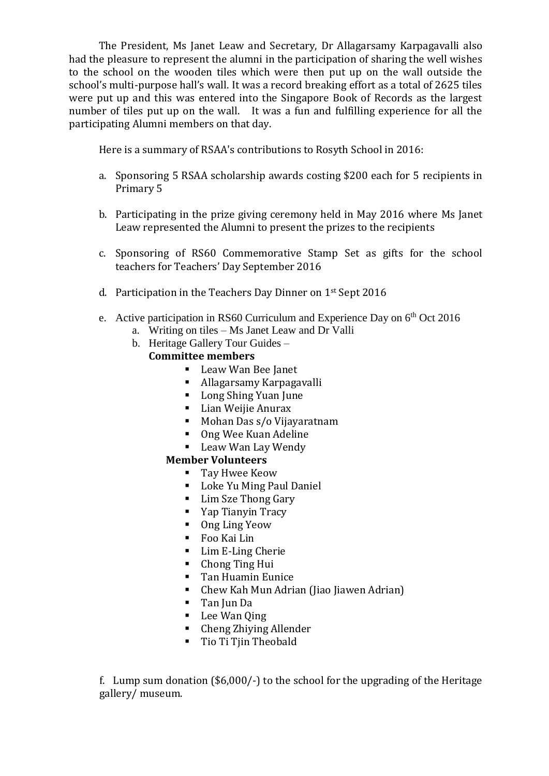The President, Ms Janet Leaw and Secretary, Dr Allagarsamy Karpagavalli also had the pleasure to represent the alumni in the participation of sharing the well wishes to the school on the wooden tiles which were then put up on the wall outside the school's multi-purpose hall's wall. It was a record breaking effort as a total of 2625 tiles were put up and this was entered into the Singapore Book of Records as the largest number of tiles put up on the wall. It was a fun and fulfilling experience for all the participating Alumni members on that day.

Here is a summary of RSAA's contributions to Rosyth School in 2016:

- a. Sponsoring 5 RSAA scholarship awards costing \$200 each for 5 recipients in Primary 5
- b. Participating in the prize giving ceremony held in May 2016 where Ms Janet Leaw represented the Alumni to present the prizes to the recipients
- c. Sponsoring of RS60 Commemorative Stamp Set as gifts for the school teachers for Teachers' Day September 2016
- d. Participation in the Teachers Day Dinner on 1st Sept 2016
- e. Active participation in RS60 Curriculum and Experience Day on  $6<sup>th</sup>$  Oct 2016
	- a. Writing on tiles Ms Janet Leaw and Dr Valli
	- b. Heritage Gallery Tour Guides –

### **Committee members**

- Leaw Wan Bee Janet
- Allagarsamy Karpagavalli
- Long Shing Yuan June
- **Lian Weijie Anurax**
- Mohan Das s/o Vijayaratnam
- Ong Wee Kuan Adeline
- **Leaw Wan Lay Wendy**

### **Member Volunteers**

- Tay Hwee Keow
- **Loke Yu Ming Paul Daniel**
- **Lim Sze Thong Gary**
- Yap Tianyin Tracy
- Ong Ling Yeow
- Foo Kai Lin
- **Lim E-Ling Cherie**
- Chong Ting Hui
- **Tan Huamin Eunice**
- Chew Kah Mun Adrian (Jiao Jiawen Adrian)
- Tan Jun Da
- Lee Wan Qing
- Cheng Zhiying Allender
- Tio Ti Tjin Theobald

f. Lump sum donation (\$6,000/-) to the school for the upgrading of the Heritage gallery/ museum.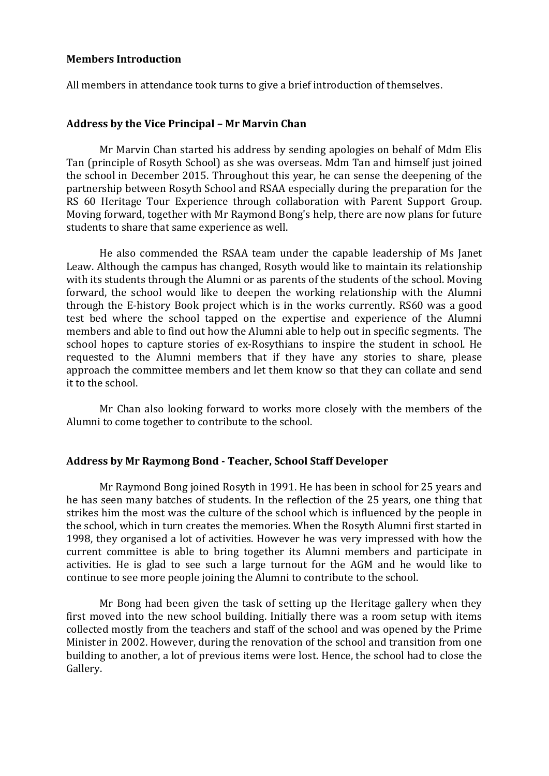#### **Members Introduction**

All members in attendance took turns to give a brief introduction of themselves.

### **Address by the Vice Principal – Mr Marvin Chan**

Mr Marvin Chan started his address by sending apologies on behalf of Mdm Elis Tan (principle of Rosyth School) as she was overseas. Mdm Tan and himself just joined the school in December 2015. Throughout this year, he can sense the deepening of the partnership between Rosyth School and RSAA especially during the preparation for the RS 60 Heritage Tour Experience through collaboration with Parent Support Group. Moving forward, together with Mr Raymond Bong's help, there are now plans for future students to share that same experience as well.

He also commended the RSAA team under the capable leadership of Ms Janet Leaw. Although the campus has changed, Rosyth would like to maintain its relationship with its students through the Alumni or as parents of the students of the school. Moving forward, the school would like to deepen the working relationship with the Alumni through the E-history Book project which is in the works currently. RS60 was a good test bed where the school tapped on the expertise and experience of the Alumni members and able to find out how the Alumni able to help out in specific segments. The school hopes to capture stories of ex-Rosythians to inspire the student in school. He requested to the Alumni members that if they have any stories to share, please approach the committee members and let them know so that they can collate and send it to the school.

Mr Chan also looking forward to works more closely with the members of the Alumni to come together to contribute to the school.

#### **Address by Mr Raymong Bond - Teacher, School Staff Developer**

Mr Raymond Bong joined Rosyth in 1991. He has been in school for 25 years and he has seen many batches of students. In the reflection of the 25 years, one thing that strikes him the most was the culture of the school which is influenced by the people in the school, which in turn creates the memories. When the Rosyth Alumni first started in 1998, they organised a lot of activities. However he was very impressed with how the current committee is able to bring together its Alumni members and participate in activities. He is glad to see such a large turnout for the AGM and he would like to continue to see more people joining the Alumni to contribute to the school.

Mr Bong had been given the task of setting up the Heritage gallery when they first moved into the new school building. Initially there was a room setup with items collected mostly from the teachers and staff of the school and was opened by the Prime Minister in 2002. However, during the renovation of the school and transition from one building to another, a lot of previous items were lost. Hence, the school had to close the Gallery.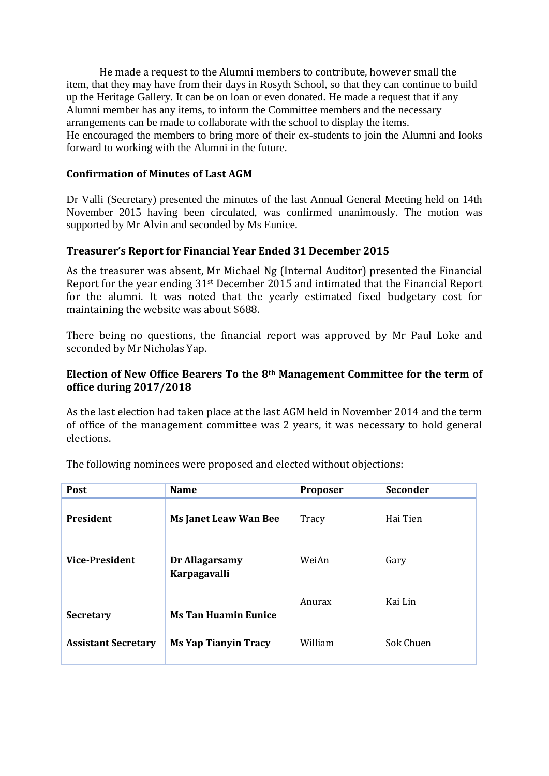He made a request to the Alumni members to contribute, however small the item, that they may have from their days in Rosyth School, so that they can continue to build up the Heritage Gallery. It can be on loan or even donated. He made a request that if any Alumni member has any items, to inform the Committee members and the necessary arrangements can be made to collaborate with the school to display the items. He encouraged the members to bring more of their ex-students to join the Alumni and looks forward to working with the Alumni in the future.

### **Confirmation of Minutes of Last AGM**

Dr Valli (Secretary) presented the minutes of the last Annual General Meeting held on 14th November 2015 having been circulated, was confirmed unanimously. The motion was supported by Mr Alvin and seconded by Ms Eunice.

### **Treasurer's Report for Financial Year Ended 31 December 2015**

As the treasurer was absent, Mr Michael Ng (Internal Auditor) presented the Financial Report for the year ending 31st December 2015 and intimated that the Financial Report for the alumni. It was noted that the yearly estimated fixed budgetary cost for maintaining the website was about \$688.

There being no questions, the financial report was approved by Mr Paul Loke and seconded by Mr Nicholas Yap.

### **Election of New Office Bearers To the 8th Management Committee for the term of office during 2017/2018**

As the last election had taken place at the last AGM held in November 2014 and the term of office of the management committee was 2 years, it was necessary to hold general elections.

| Post                       | <b>Name</b>                           | Proposer | <b>Seconder</b> |
|----------------------------|---------------------------------------|----------|-----------------|
| <b>President</b>           | <b>Ms Janet Leaw Wan Bee</b>          | Tracy    | Hai Tien        |
| <b>Vice-President</b>      | Dr Allagarsamy<br><b>Karpagavalli</b> | WeiAn    | Gary            |
| <b>Secretary</b>           | <b>Ms Tan Huamin Eunice</b>           | Anurax   | Kai Lin         |
| <b>Assistant Secretary</b> | <b>Ms Yap Tianyin Tracy</b>           | William  | Sok Chuen       |

The following nominees were proposed and elected without objections: